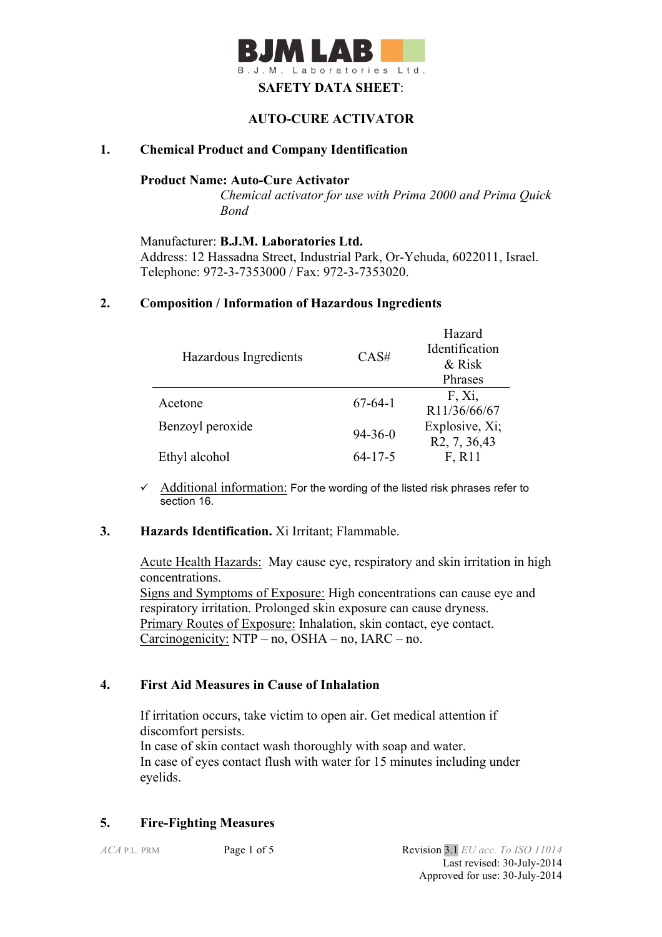

#### **AUTO-CURE ACTIVATOR**

### **1. Chemical Product and Company Identification**

#### **Product Name: Auto-Cure Activator**

*Chemical activator for use with Prima 2000 and Prima Quick Bond*

Manufacturer: **B.J.M. Laboratories Ltd.** Address: 12 Hassadna Street, Industrial Park, Or-Yehuda, 6022011, Israel. Telephone: 972-3-7353000 / Fax: 972-3-7353020.

#### **2. Composition / Information of Hazardous Ingredients**

| Hazardous Ingredients | CAS#          | Hazard<br>Identification<br>& Risk           |
|-----------------------|---------------|----------------------------------------------|
|                       |               | Phrases                                      |
| Acetone               | $67-64-1$     | F, Xi,<br>R11/36/66/67                       |
| Benzoyl peroxide      | $94 - 36 - 0$ | Explosive, Xi;<br>R <sub>2</sub> , 7, 36, 43 |
| Ethyl alcohol         | $64 - 17 - 5$ | F, R11                                       |

 $\checkmark$  Additional information: For the wording of the listed risk phrases refer to section 16.

#### **3. Hazards Identification.** Xi Irritant; Flammable.

Acute Health Hazards: May cause eye, respiratory and skin irritation in high concentrations. Signs and Symptoms of Exposure: High concentrations can cause eye and respiratory irritation. Prolonged skin exposure can cause dryness. Primary Routes of Exposure: Inhalation, skin contact, eye contact. Carcinogenicity: NTP – no, OSHA – no, IARC – no.

#### **4. First Aid Measures in Cause of Inhalation**

 If irritation occurs, take victim to open air. Get medical attention if discomfort persists. In case of skin contact wash thoroughly with soap and water. In case of eyes contact flush with water for 15 minutes including under eyelids.

#### **5. Fire-Fighting Measures**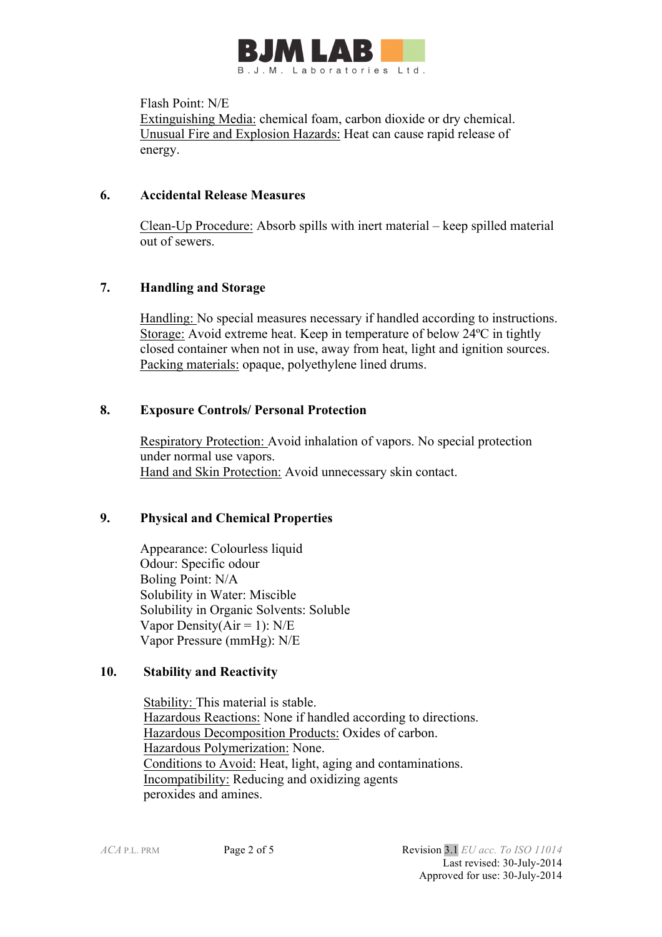

#### Flash Point: N/E

Extinguishing Media: chemical foam, carbon dioxide or dry chemical. Unusual Fire and Explosion Hazards: Heat can cause rapid release of energy.

### **6. Accidental Release Measures**

 Clean-Up Procedure: Absorb spills with inert material – keep spilled material out of sewers.

# **7. Handling and Storage**

 Handling: No special measures necessary if handled according to instructions. Storage: Avoid extreme heat. Keep in temperature of below 24ºC in tightly closed container when not in use, away from heat, light and ignition sources. Packing materials: opaque, polyethylene lined drums.

## **8. Exposure Controls/ Personal Protection**

 Respiratory Protection: Avoid inhalation of vapors. No special protection under normal use vapors. Hand and Skin Protection: Avoid unnecessary skin contact.

## **9. Physical and Chemical Properties**

Appearance: Colourless liquid Odour: Specific odour Boling Point: N/A Solubility in Water: Miscible Solubility in Organic Solvents: Soluble Vapor Density( $Air = 1$ ): N/E Vapor Pressure (mmHg): N/E

## **10. Stability and Reactivity**

 Stability: This material is stable. Hazardous Reactions: None if handled according to directions. Hazardous Decomposition Products: Oxides of carbon. Hazardous Polymerization: None. Conditions to Avoid: Heat, light, aging and contaminations. Incompatibility: Reducing and oxidizing agents peroxides and amines.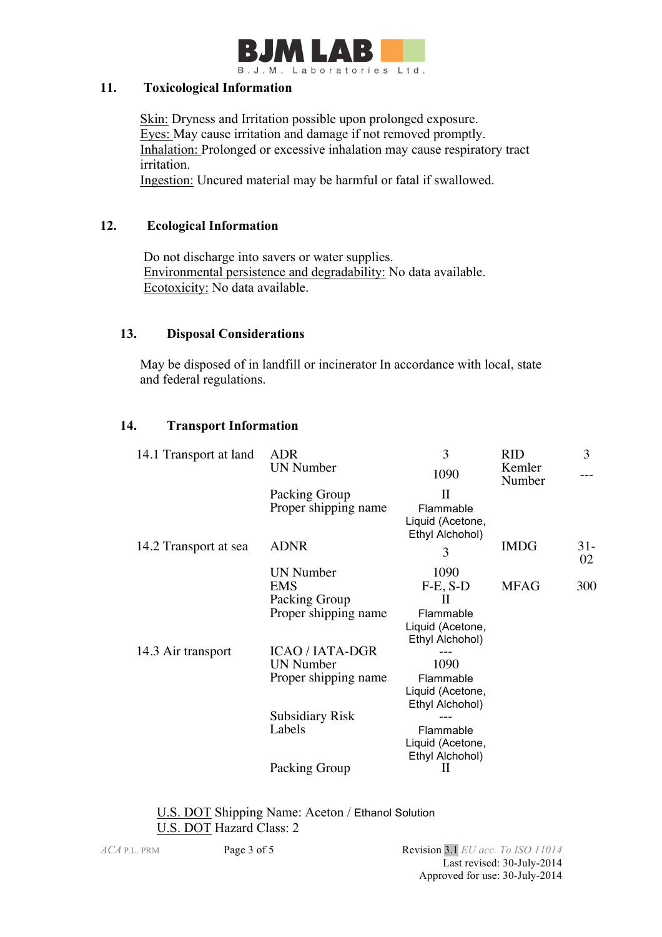

### **11. Toxicological Information**

Skin: Dryness and Irritation possible upon prolonged exposure. Eyes: May cause irritation and damage if not removed promptly. Inhalation: Prolonged or excessive inhalation may cause respiratory tract irritation.

Ingestion: Uncured material may be harmful or fatal if swallowed.

## **12. Ecological Information**

 Do not discharge into savers or water supplies. Environmental persistence and degradability: No data available. Ecotoxicity: No data available.

## **13. Disposal Considerations**

 May be disposed of in landfill or incinerator In accordance with local, state and federal regulations.

## **14. Transport Information**

| 14.1 Transport at land | <b>ADR</b>             | 3                                   | <b>RID</b>       | 3     |
|------------------------|------------------------|-------------------------------------|------------------|-------|
|                        | <b>UN Number</b>       | 1090                                | Kemler<br>Number |       |
|                        | Packing Group          | $\rm II$                            |                  |       |
|                        | Proper shipping name   | Flammable                           |                  |       |
|                        |                        | Liquid (Acetone,                    |                  |       |
| 14.2 Transport at sea  | <b>ADNR</b>            | Ethyl Alchohol)                     | <b>IMDG</b>      | $31-$ |
|                        |                        | 3                                   |                  | 02    |
|                        | <b>UN Number</b>       | 1090                                |                  |       |
|                        | <b>EMS</b>             | $F-E$ , $S-D$                       | <b>MFAG</b>      | 300   |
|                        | Packing Group          | Н                                   |                  |       |
|                        | Proper shipping name   | Flammable                           |                  |       |
|                        |                        | Liquid (Acetone,<br>Ethyl Alchohol) |                  |       |
| 14.3 Air transport     | <b>ICAO / IATA-DGR</b> |                                     |                  |       |
|                        | <b>UN Number</b>       | 1090                                |                  |       |
|                        | Proper shipping name   | Flammable                           |                  |       |
|                        |                        | Liquid (Acetone,                    |                  |       |
|                        | <b>Subsidiary Risk</b> | Ethyl Alchohol)                     |                  |       |
|                        | Labels                 | Flammable                           |                  |       |
|                        |                        | Liquid (Acetone,                    |                  |       |
|                        |                        | Ethyl Alchohol)                     |                  |       |
|                        | Packing Group          | п                                   |                  |       |
|                        |                        |                                     |                  |       |

### U.S. DOT Shipping Name: Aceton / Ethanol Solution U.S. DOT Hazard Class: 2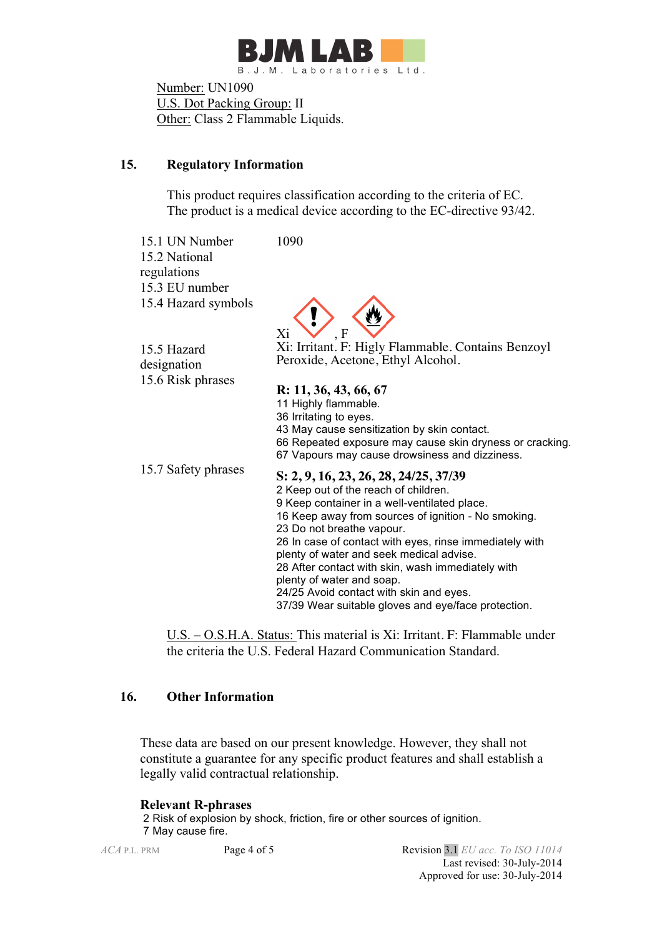

 Number: UN1090 U.S. Dot Packing Group: II Other: Class 2 Flammable Liquids.

# **15. Regulatory Information**

 This product requires classification according to the criteria of EC. The product is a medical device according to the EC-directive 93/42.

15.1 UN Number 1090 15.2 National regulations 15.3 EU number 15.4 Hazard symbols



15.5 Hazard designation

Xi: Irritant. F: Higly Flammable. Contains Benzoyl Peroxide, Acetone, Ethyl Alcohol.

15.6 Risk phrases **R: 11, 36, 43, 66, 67** 11 Highly flammable. 36 Irritating to eyes. 43 May cause sensitization by skin contact. 66 Repeated exposure may cause skin dryness or cracking. 67 Vapours may cause drowsiness and dizziness. 15.7 Safety phrases **S: 2, 9, 16, 23, 26, 28, 24/25, 37/39** 2 Keep out of the reach of children. 9 Keep container in a well-ventilated place. 16 Keep away from sources of ignition - No smoking. 23 Do not breathe vapour. 26 In case of contact with eyes, rinse immediately with plenty of water and seek medical advise. 28 After contact with skin, wash immediately with plenty of water and soap.

37/39 Wear suitable gloves and eye/face protection.

U.S. – O.S.H.A. Status: This material is Xi: Irritant. F: Flammable under the criteria the U.S. Federal Hazard Communication Standard.

24/25 Avoid contact with skin and eyes.

## **16. Other Information**

These data are based on our present knowledge. However, they shall not constitute a guarantee for any specific product features and shall establish a legally valid contractual relationship.

#### **Relevant R-phrases**

2 Risk of explosion by shock, friction, fire or other sources of ignition. 7 May cause fire.

*ACA* P.L. PRM Page 4 of 5 Revision 3.1 *EU acc. To ISO 11014* Last revised: 30-July-2014 Approved for use: 30-July-2014